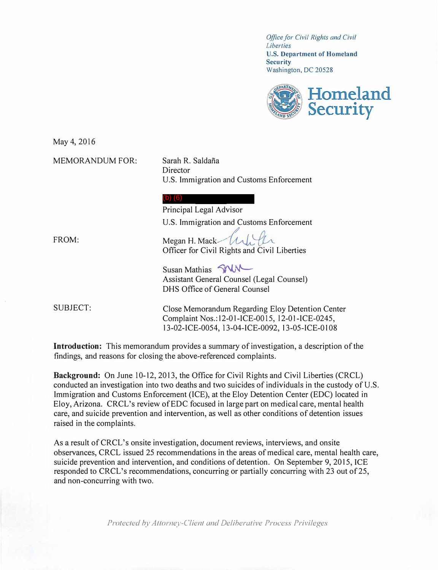*Office for Civil Rights and Civil Liberties*  **U.S. Department of Homeland Security**  Washington, DC 20528



May 4, 2016

MEMORANDUM FOR:

Sarah R. Saldaña **Director** U.S. Immigration and Customs Enforcement

## (b) (6)

Principal Legal Advisor U.S. Immigration and Customs Enforcement

FROM:

Megan H. Mack  $\mathcal{U}$ Officer for Civil Rights and Civil Liberties

Susan Mathias **SINA** Assistant General Counsel (Legal Counsel) DHS Office of General Counsel

SUBJECT:

Close Memorandum Regarding Eloy Detention Center Complaint Nos.: 12-01-ICE-OO 15, l 2-0l-ICE-0245, 13-02-ICE-0054, 13-04-ICE-0092, 13-05-ICE-O 108

**Introduction:** This memorandum provides a summary of investigation, a description of the findings, and reasons for closing the above-referenced complaints.

**Background:** On June 10-12, 2013, the Office for Civil Rights and Civil Liberties (CRCL) conducted an investigation into two deaths and two suicides of individuals in the custody of U.S. Immigration and Customs Enforcement (ICE), at the Eloy Detention Center (EDC) located in Eloy, Arizona. CRCL's review of EDC focused in large part on medical care, mental health care, and suicide prevention and intervention, as well as other conditions of detention issues raised in the complaints.

As a result of CRCL's onsite investigation, document reviews, interviews, and onsite observances, CRCL issued 25 recommendations in the areas of medical care, mental health care, suicide prevention and intervention, and conditions of detention. On September 9, 2015, ICE responded to CRCL's recommendations, concurring or partially concurring with 23 out of 25, and non-concurring with two.

*Protected by Attorney-Client and Deliberative Process Privileges*